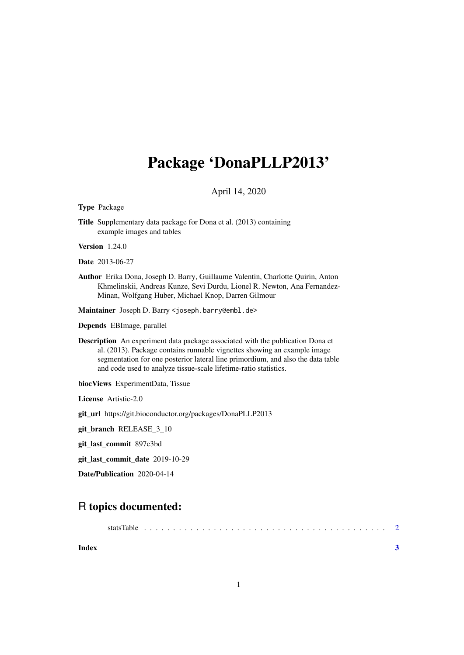# Package 'DonaPLLP2013'

### April 14, 2020

Type Package

Title Supplementary data package for Dona et al. (2013) containing example images and tables

Version 1.24.0

Date 2013-06-27

Author Erika Dona, Joseph D. Barry, Guillaume Valentin, Charlotte Quirin, Anton Khmelinskii, Andreas Kunze, Sevi Durdu, Lionel R. Newton, Ana Fernandez-Minan, Wolfgang Huber, Michael Knop, Darren Gilmour

Maintainer Joseph D. Barry <joseph.barry@embl.de>

Depends EBImage, parallel

Description An experiment data package associated with the publication Dona et al. (2013). Package contains runnable vignettes showing an example image segmentation for one posterior lateral line primordium, and also the data table and code used to analyze tissue-scale lifetime-ratio statistics.

biocViews ExperimentData, Tissue

License Artistic-2.0

git\_url https://git.bioconductor.org/packages/DonaPLLP2013

git\_branch RELEASE\_3\_10

git\_last\_commit 897c3bd

git\_last\_commit\_date 2019-10-29

Date/Publication 2020-04-14

## R topics documented:

| statsTable | - 2 |
|------------|-----|
|------------|-----|

**Index** [3](#page-2-0)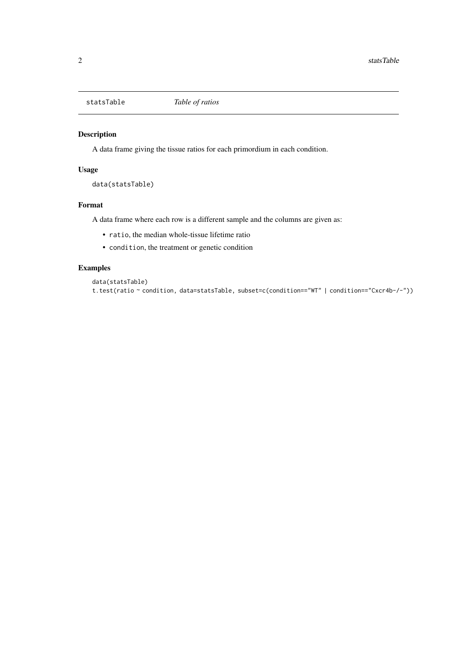<span id="page-1-0"></span>

#### Description

A data frame giving the tissue ratios for each primordium in each condition.

#### Usage

data(statsTable)

#### Format

A data frame where each row is a different sample and the columns are given as:

- ratio, the median whole-tissue lifetime ratio
- condition, the treatment or genetic condition

#### Examples

```
data(statsTable)
t.test(ratio ~ condition, data=statsTable, subset=c(condition=="WT" | condition=="Cxcr4b-/-"))
```